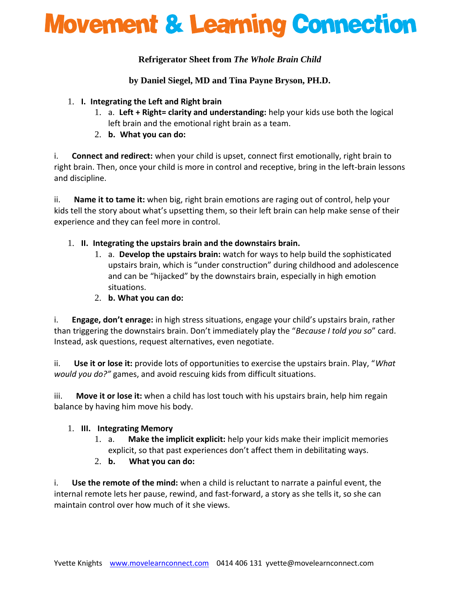## **Movement & Learning Connection**

## **Refrigerator Sheet from** *The Whole Brain Child*

**by Daniel Siegel, MD and Tina Payne Bryson, PH.D.**

#### 1. **I. Integrating the Left and Right brain**

- 1. a. **Left + Right= clarity and understanding:** help your kids use both the logical left brain and the emotional right brain as a team.
- 2. **b. What you can do:**

i. **Connect and redirect:** when your child is upset, connect first emotionally, right brain to right brain. Then, once your child is more in control and receptive, bring in the left-brain lessons and discipline.

ii. **Name it to tame it:** when big, right brain emotions are raging out of control, help your kids tell the story about what's upsetting them, so their left brain can help make sense of their experience and they can feel more in control.

## 1. **II. Integrating the upstairs brain and the downstairs brain.**

- 1. a. **Develop the upstairs brain:** watch for ways to help build the sophisticated upstairs brain, which is "under construction" during childhood and adolescence and can be "hijacked" by the downstairs brain, especially in high emotion situations.
- 2. **b. What you can do:**

i. **Engage, don't enrage:** in high stress situations, engage your child's upstairs brain, rather than triggering the downstairs brain. Don't immediately play the "*Because I told you so*" card. Instead, ask questions, request alternatives, even negotiate.

ii. **Use it or lose it:** provide lots of opportunities to exercise the upstairs brain. Play, "*What would you do?"* games, and avoid rescuing kids from difficult situations.

iii. **Move it or lose it:** when a child has lost touch with his upstairs brain, help him regain balance by having him move his body.

#### 1. **III. Integrating Memory**

- 1. a. **Make the implicit explicit:** help your kids make their implicit memories explicit, so that past experiences don't affect them in debilitating ways.
- 2. **b. What you can do:**

i. **Use the remote of the mind:** when a child is reluctant to narrate a painful event, the internal remote lets her pause, rewind, and fast-forward, a story as she tells it, so she can maintain control over how much of it she views.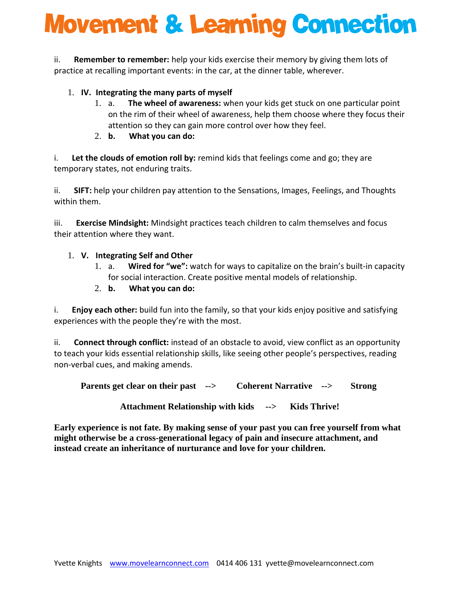# **Movement & Learning Connection**

ii. **Remember to remember:** help your kids exercise their memory by giving them lots of practice at recalling important events: in the car, at the dinner table, wherever.

## 1. **IV. Integrating the many parts of myself**

- 1. a. **The wheel of awareness:** when your kids get stuck on one particular point on the rim of their wheel of awareness, help them choose where they focus their attention so they can gain more control over how they feel.
- 2. **b. What you can do:**

i. **Let the clouds of emotion roll by:** remind kids that feelings come and go; they are temporary states, not enduring traits.

ii. **SIFT:** help your children pay attention to the Sensations, Images, Feelings, and Thoughts within them.

iii. **Exercise Mindsight:** Mindsight practices teach children to calm themselves and focus their attention where they want.

## 1. **V. Integrating Self and Other**

1. a. **Wired for "we":** watch for ways to capitalize on the brain's built-in capacity for social interaction. Create positive mental models of relationship.

## 2. **b. What you can do:**

i. **Enjoy each other:** build fun into the family, so that your kids enjoy positive and satisfying experiences with the people they're with the most.

ii. **Connect through conflict:** instead of an obstacle to avoid, view conflict as an opportunity to teach your kids essential relationship skills, like seeing other people's perspectives, reading non-verbal cues, and making amends.

**Parents get clear on their past --> Coherent Narrative --> Strong**

**Attachment Relationship with kids --> Kids Thrive!**

**Early experience is not fate. By making sense of your past you can free yourself from what might otherwise be a cross-generational legacy of pain and insecure attachment, and instead create an inheritance of nurturance and love for your children.**